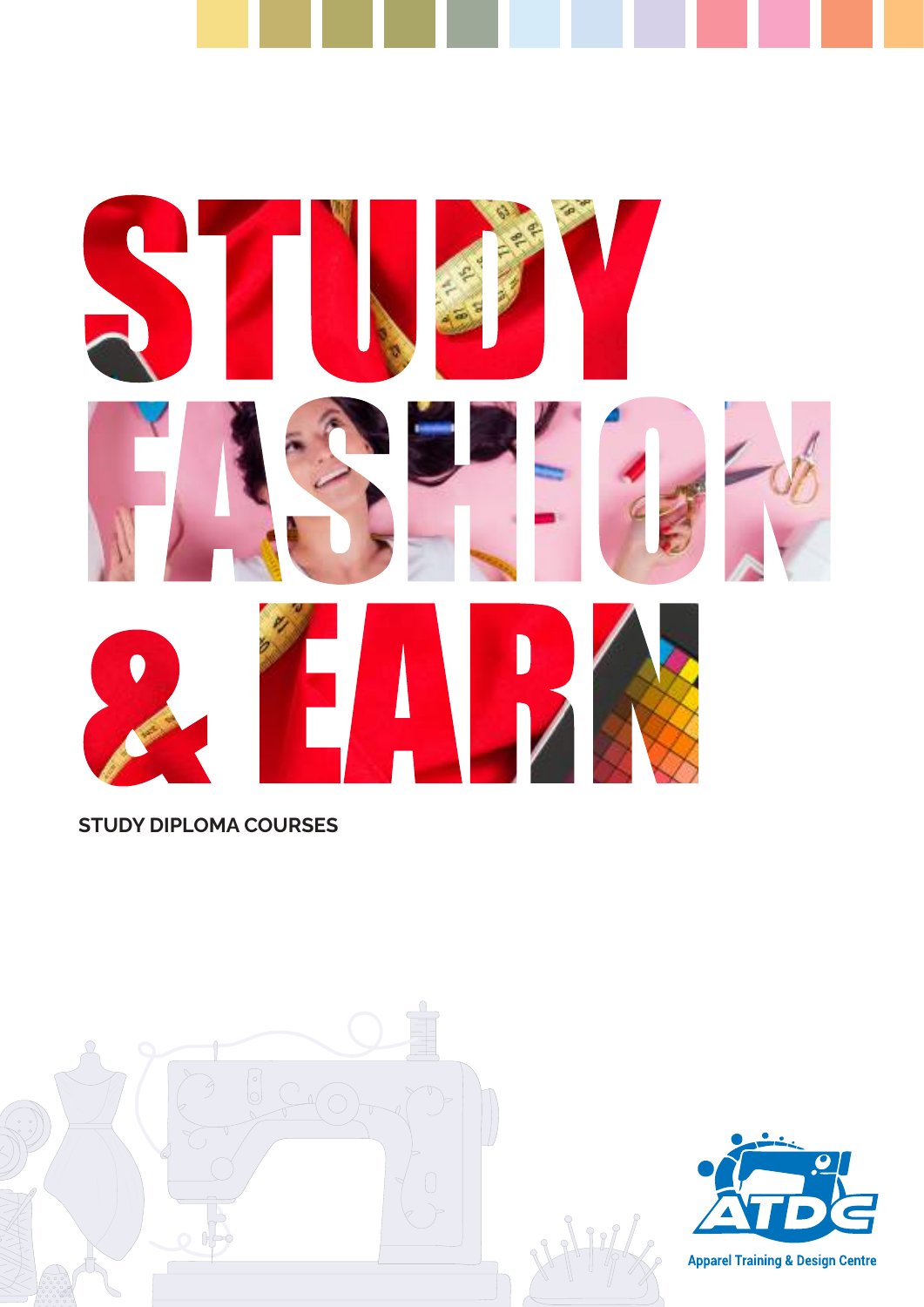



STUDY DIPLOMA COURSES





**Apparel Training & Design Centre**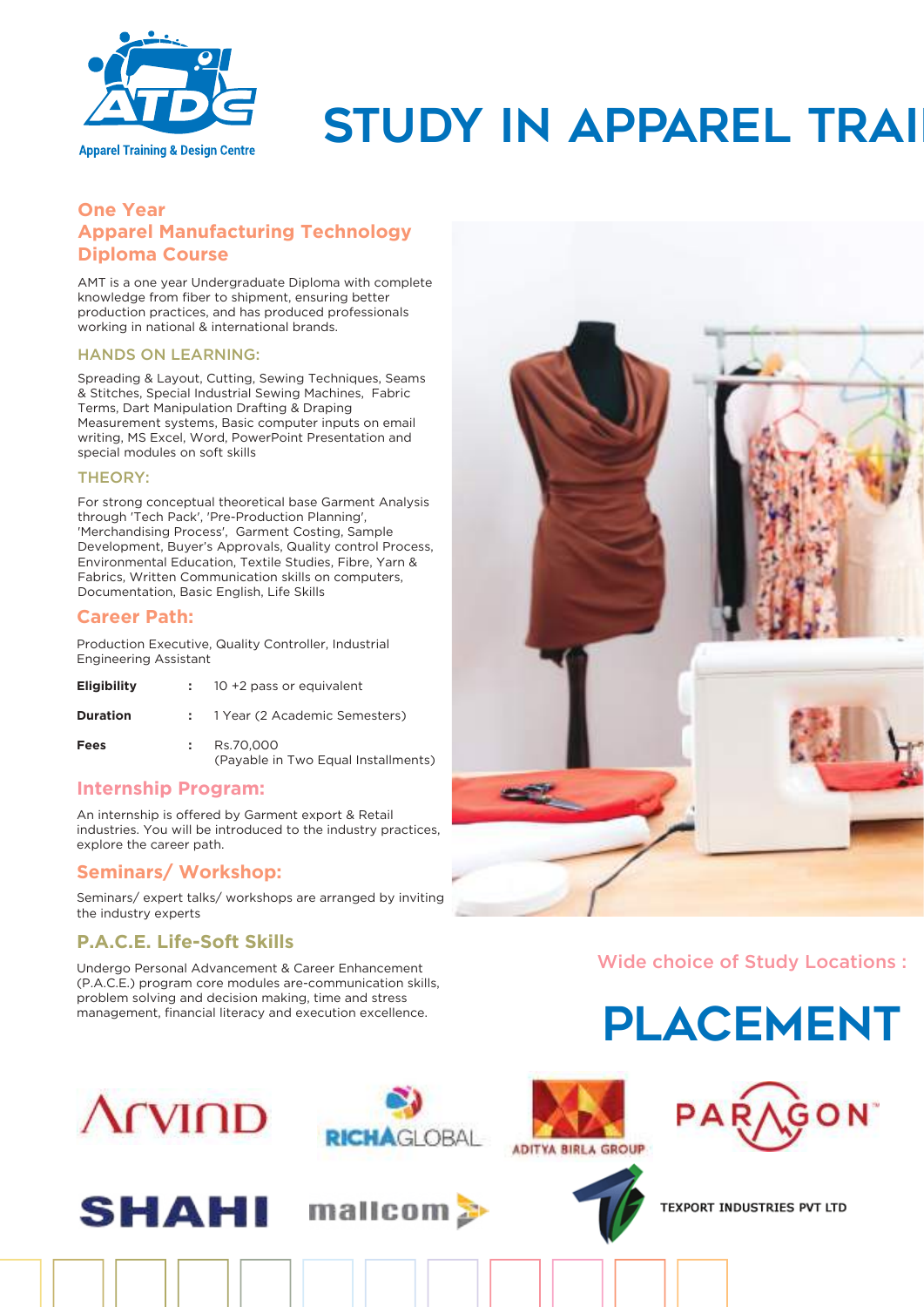

# Apparel Training & Design Centre STUDY IN APPAREL TRAI

### **One Year Apparel Manufacturing Technology Diploma Course**

AMT is a one year Undergraduate Diploma with complete knowledge from fiber to shipment, ensuring better production practices, and has produced professionals working in national & international brands.

#### HANDS ON LEARNING:

Spreading & Layout, Cutting, Sewing Techniques, Seams & Stitches, Special Industrial Sewing Machines, Fabric Terms, Dart Manipulation Drafting & Draping Measurement systems, Basic computer inputs on email writing, MS Excel, Word, PowerPoint Presentation and special modules on soft skills

#### THEORY:

For strong conceptual theoretical base Garment Analysis through 'Tech Pack', 'Pre-Production Planning', 'Merchandising Process', Garment Costing, Sample Development, Buyer's Approvals, Quality control Process, Environmental Education, Textile Studies, Fibre, Yarn & Fabrics, Written Communication skills on computers, Documentation, Basic English, Life Skills

#### **Career Path:**

Production Executive, Quality Controller, Industrial Engineering Assistant

| <b>Eligibility</b> | $\div$ 10 +2 pass or equivalent                  |
|--------------------|--------------------------------------------------|
| <b>Duration</b>    | : 1 Year (2 Academic Semesters)                  |
| Fees               | Rs.70.000<br>(Payable in Two Equal Installments) |

#### **Internship Program:**

An internship is offered by Garment export & Retail industries. You will be introduced to the industry practices, explore the career path.

#### **Seminars/ Workshop:**

Seminars/ expert talks/ workshops are arranged by inviting the industry experts

### **P.A.C.E. Life-Soft Skills**

Undergo Personal Advancement & Career Enhancement (P.A.C.E.) program core modules are-communication skills, problem solving and decision making, time and stress management, financial literacy and execution excellence.



# Wide choice of Study Locations :















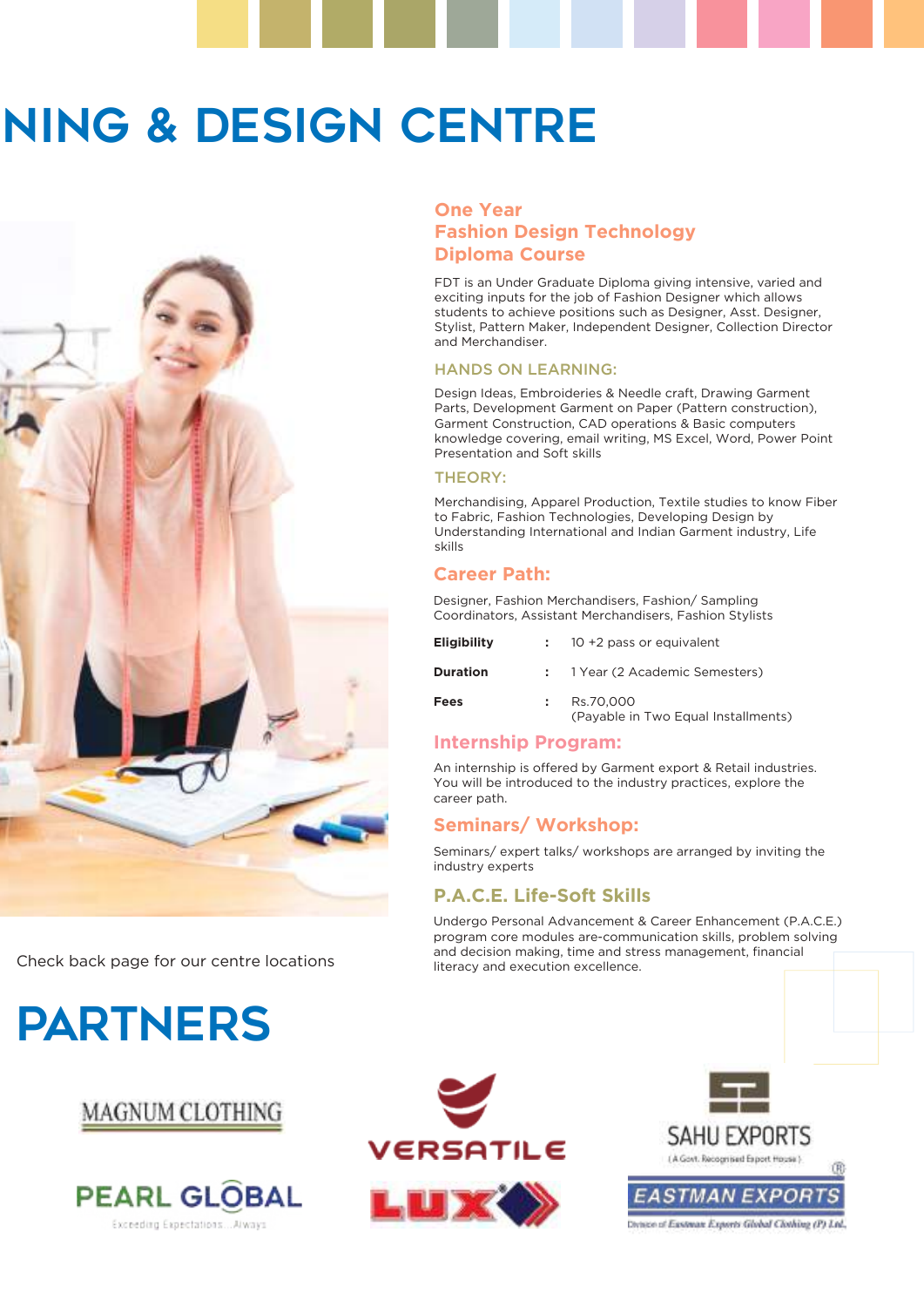# **NING & DESIGN CENTRE**



Check back page for our centre locations

# PARTNERS

# **MAGNUM CLOTHING**



#### **One Year Fashion Design Technology Diploma Course**

FDT is an Under Graduate Diploma giving intensive, varied and exciting inputs for the job of Fashion Designer which allows students to achieve positions such as Designer, Asst. Designer, Stylist, Pattern Maker, Independent Designer, Collection Director and Merchandiser.

#### HANDS ON LEARNING:

Design Ideas, Embroideries & Needle craft, Drawing Garment Parts, Development Garment on Paper (Pattern construction), Garment Construction, CAD operations & Basic computers knowledge covering, email writing, MS Excel, Word, Power Point Presentation and Soft skills

#### THEORY:

Merchandising, Apparel Production, Textile studies to know Fiber to Fabric, Fashion Technologies, Developing Design by Understanding International and Indian Garment industry, Life skills

#### **Career Path:**

Designer, Fashion Merchandisers, Fashion/ Sampling Coordinators, Assistant Merchandisers, Fashion Stylists

| <b>Eligibility</b> | $\div$ 10 +2 pass or equivalent                  |
|--------------------|--------------------------------------------------|
| <b>Duration</b>    | : 1 Year (2 Academic Semesters)                  |
| Fees               | Rs.70.000<br>(Payable in Two Equal Installments) |

### **Internship Program:**

An internship is offered by Garment export & Retail industries. You will be introduced to the industry practices, explore the career path.

### **Seminars/ Workshop:**

Seminars/ expert talks/ workshops are arranged by inviting the industry experts

# **P.A.C.E. Life-Soft Skills**

Undergo Personal Advancement & Career Enhancement (P.A.C.E.) program core modules are-communication skills, problem solving and decision making, time and stress management, financial literacy and execution excellence.





nce of Esstman Exports Global Clothing (P) Ltd.